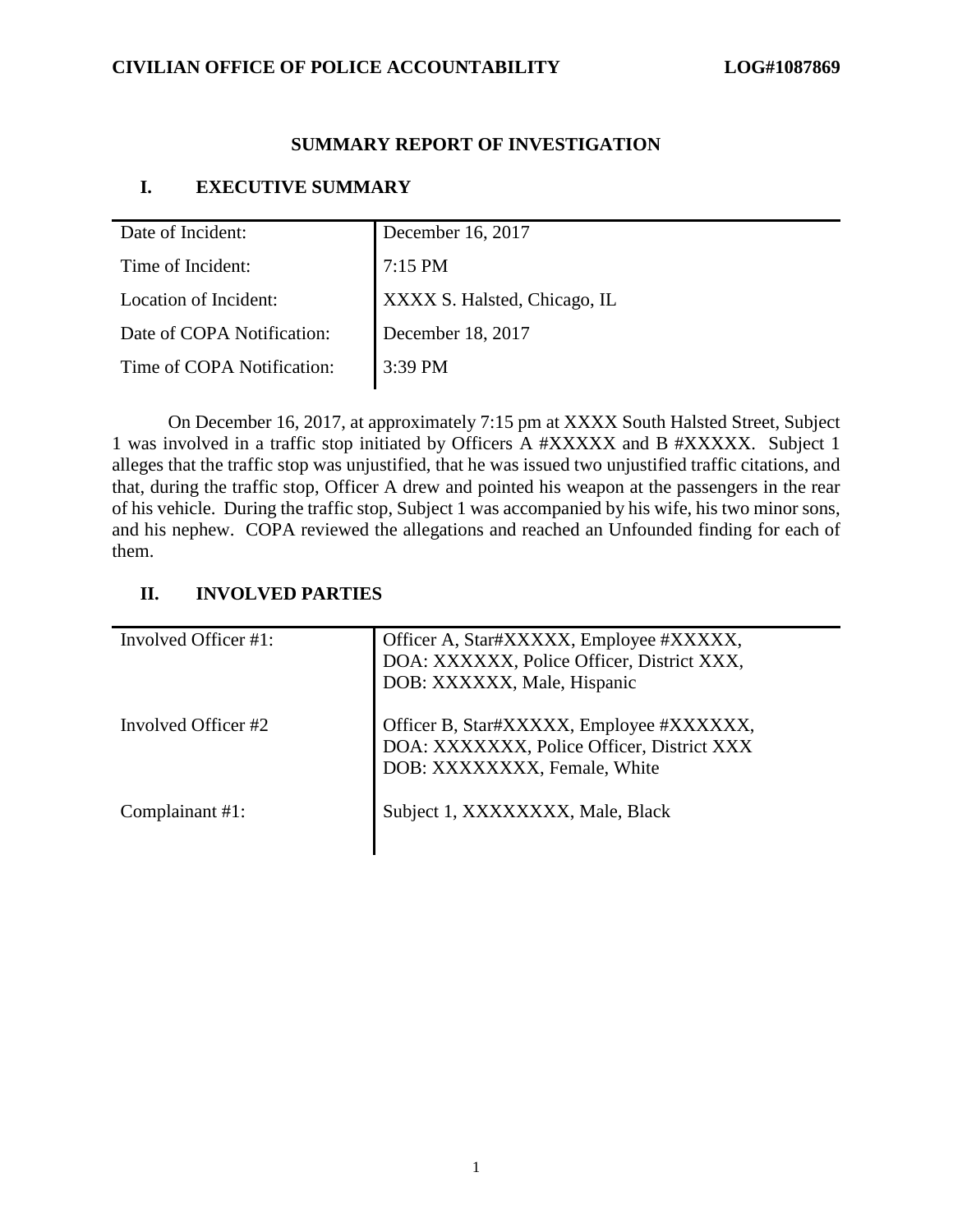# **CIVILIAN OFFICE OF POLICE ACCOUNTABILITY LOG#1087869**

# **SUMMARY REPORT OF INVESTIGATION**

# **I. EXECUTIVE SUMMARY**

| Date of Incident:          | December 16, 2017            |
|----------------------------|------------------------------|
| Time of Incident:          | 7:15 PM                      |
| Location of Incident:      | XXXX S. Halsted, Chicago, IL |
| Date of COPA Notification: | December 18, 2017            |
| Time of COPA Notification: | 3:39 PM                      |

On December 16, 2017, at approximately 7:15 pm at XXXX South Halsted Street, Subject 1 was involved in a traffic stop initiated by Officers A #XXXXX and B #XXXXX. Subject 1 alleges that the traffic stop was unjustified, that he was issued two unjustified traffic citations, and that, during the traffic stop, Officer A drew and pointed his weapon at the passengers in the rear of his vehicle. During the traffic stop, Subject 1 was accompanied by his wife, his two minor sons, and his nephew. COPA reviewed the allegations and reached an Unfounded finding for each of them.

# **II. INVOLVED PARTIES**

| Involved Officer #1: | Officer A, Star#XXXXX, Employee #XXXXX,<br>DOA: XXXXXX, Police Officer, District XXX,<br>DOB: XXXXXX, Male, Hispanic   |
|----------------------|------------------------------------------------------------------------------------------------------------------------|
| Involved Officer #2  | Officer B, Star#XXXXX, Employee #XXXXXX,<br>DOA: XXXXXXX, Police Officer, District XXX<br>DOB: XXXXXXXX, Female, White |
| Complainant #1:      | Subject 1, XXXXXXXX, Male, Black                                                                                       |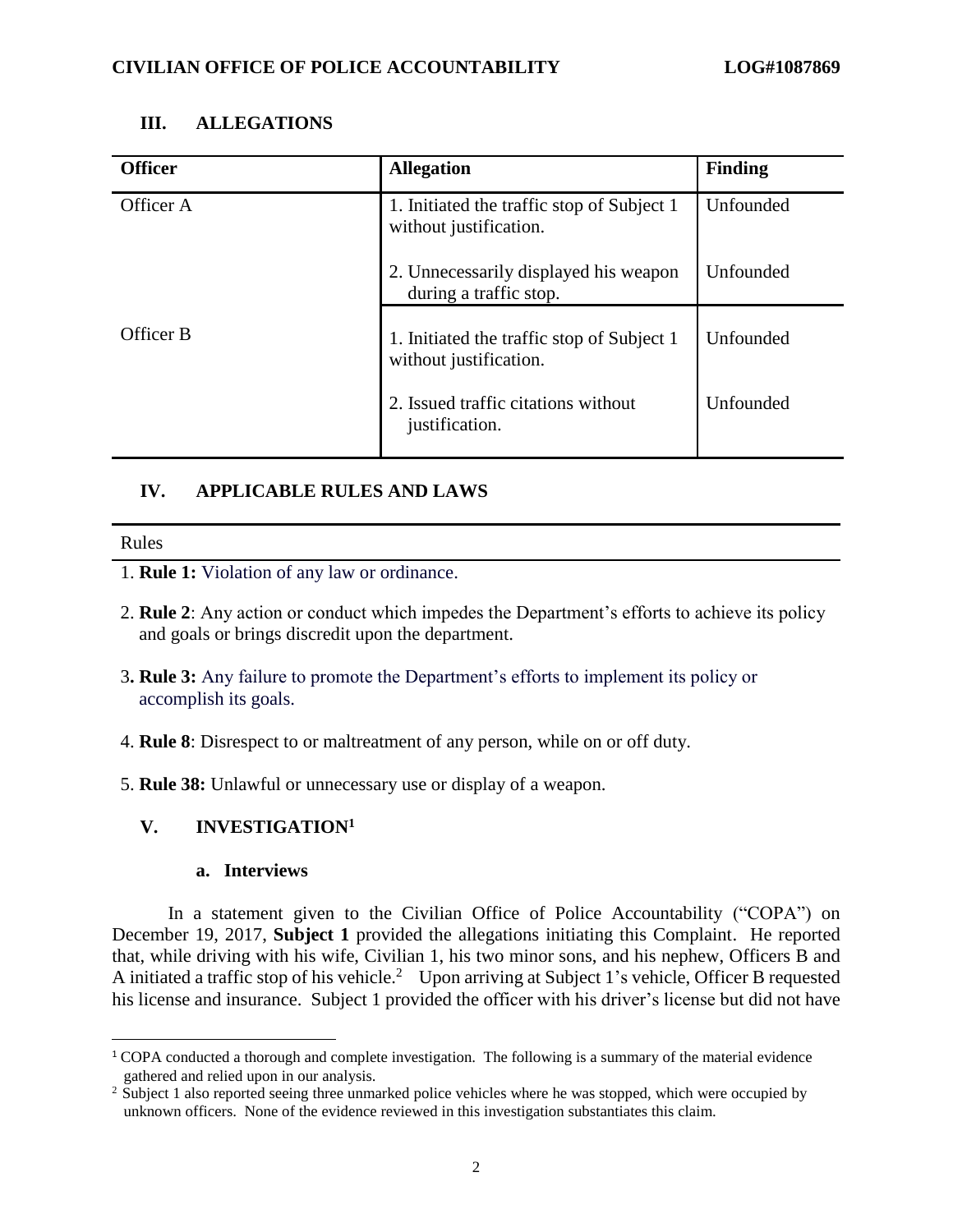#### **III. ALLEGATIONS**

| <b>Officer</b> | <b>Allegation</b>                                                    | <b>Finding</b> |
|----------------|----------------------------------------------------------------------|----------------|
| Officer A      | 1. Initiated the traffic stop of Subject 1<br>without justification. | Unfounded      |
|                | 2. Unnecessarily displayed his weapon<br>during a traffic stop.      | Unfounded      |
| Officer B      | 1. Initiated the traffic stop of Subject 1<br>without justification. | Unfounded      |
|                | 2. Issued traffic citations without<br>justification.                | Unfounded      |

# **IV. APPLICABLE RULES AND LAWS**

 $\overline{a}$ 

- 1. **Rule 1:** Violation of any law or ordinance.
- 2. **Rule 2**: Any action or conduct which impedes the Department's efforts to achieve its policy and goals or brings discredit upon the department.
- 3**. Rule 3:** Any failure to promote the Department's efforts to implement its policy or accomplish its goals.
- 4. **Rule 8**: Disrespect to or maltreatment of any person, while on or off duty.
- 5. **Rule 38:** Unlawful or unnecessary use or display of a weapon.

#### **V. INVESTIGATION<sup>1</sup>**

#### **a. Interviews**

In a statement given to the Civilian Office of Police Accountability ("COPA") on December 19, 2017, **Subject 1** provided the allegations initiating this Complaint. He reported that, while driving with his wife, Civilian 1, his two minor sons, and his nephew, Officers B and A initiated a traffic stop of his vehicle.<sup>2</sup> Upon arriving at Subject 1's vehicle, Officer B requested his license and insurance. Subject 1 provided the officer with his driver's license but did not have

<sup>1</sup> COPA conducted a thorough and complete investigation. The following is a summary of the material evidence gathered and relied upon in our analysis.

<sup>&</sup>lt;sup>2</sup> Subject 1 also reported seeing three unmarked police vehicles where he was stopped, which were occupied by unknown officers. None of the evidence reviewed in this investigation substantiates this claim.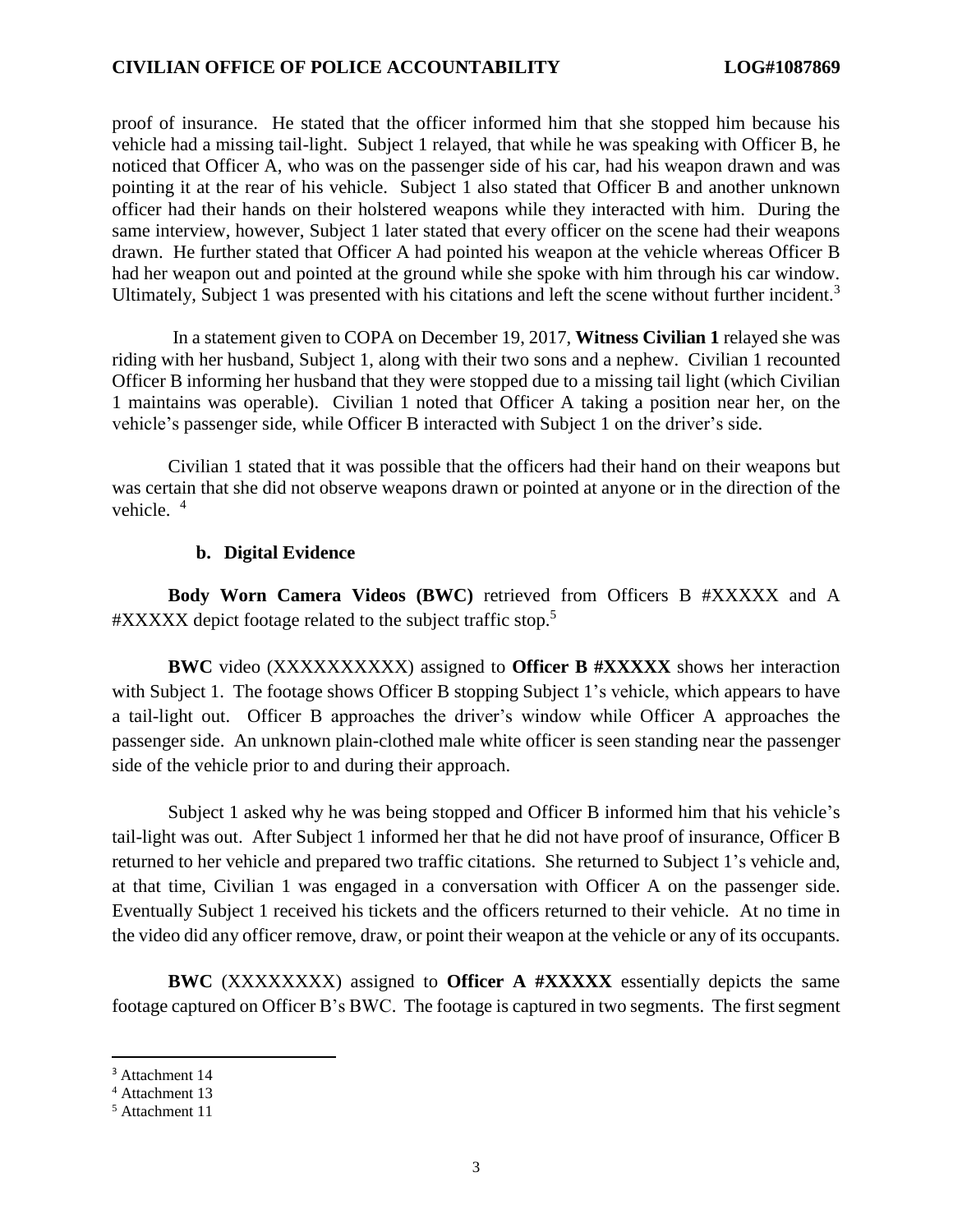proof of insurance. He stated that the officer informed him that she stopped him because his vehicle had a missing tail-light. Subject 1 relayed, that while he was speaking with Officer B, he noticed that Officer A, who was on the passenger side of his car, had his weapon drawn and was pointing it at the rear of his vehicle. Subject 1 also stated that Officer B and another unknown officer had their hands on their holstered weapons while they interacted with him. During the same interview, however, Subject 1 later stated that every officer on the scene had their weapons drawn. He further stated that Officer A had pointed his weapon at the vehicle whereas Officer B had her weapon out and pointed at the ground while she spoke with him through his car window. Ultimately, Subject 1 was presented with his citations and left the scene without further incident.<sup>3</sup>

In a statement given to COPA on December 19, 2017, **Witness Civilian 1** relayed she was riding with her husband, Subject 1, along with their two sons and a nephew. Civilian 1 recounted Officer B informing her husband that they were stopped due to a missing tail light (which Civilian 1 maintains was operable). Civilian 1 noted that Officer A taking a position near her, on the vehicle's passenger side, while Officer B interacted with Subject 1 on the driver's side.

Civilian 1 stated that it was possible that the officers had their hand on their weapons but was certain that she did not observe weapons drawn or pointed at anyone or in the direction of the vehicle.<sup>4</sup>

#### **b. Digital Evidence**

**Body Worn Camera Videos (BWC)** retrieved from Officers B #XXXXX and A #XXXXX depict footage related to the subject traffic stop.<sup>5</sup>

**BWC** video (XXXXXXXXXX) assigned to **Officer B #XXXXX** shows her interaction with Subject 1. The footage shows Officer B stopping Subject 1's vehicle, which appears to have a tail-light out. Officer B approaches the driver's window while Officer A approaches the passenger side. An unknown plain-clothed male white officer is seen standing near the passenger side of the vehicle prior to and during their approach.

Subject 1 asked why he was being stopped and Officer B informed him that his vehicle's tail-light was out. After Subject 1 informed her that he did not have proof of insurance, Officer B returned to her vehicle and prepared two traffic citations. She returned to Subject 1's vehicle and, at that time, Civilian 1 was engaged in a conversation with Officer A on the passenger side. Eventually Subject 1 received his tickets and the officers returned to their vehicle. At no time in the video did any officer remove, draw, or point their weapon at the vehicle or any of its occupants.

**BWC** (XXXXXXXX) assigned to **Officer A #XXXXX** essentially depicts the same footage captured on Officer B's BWC. The footage is captured in two segments. The first segment

 $\overline{\phantom{a}}$ 

<sup>&</sup>lt;sup>3</sup> Attachment 14

<sup>4</sup> Attachment 13

<sup>5</sup> Attachment 11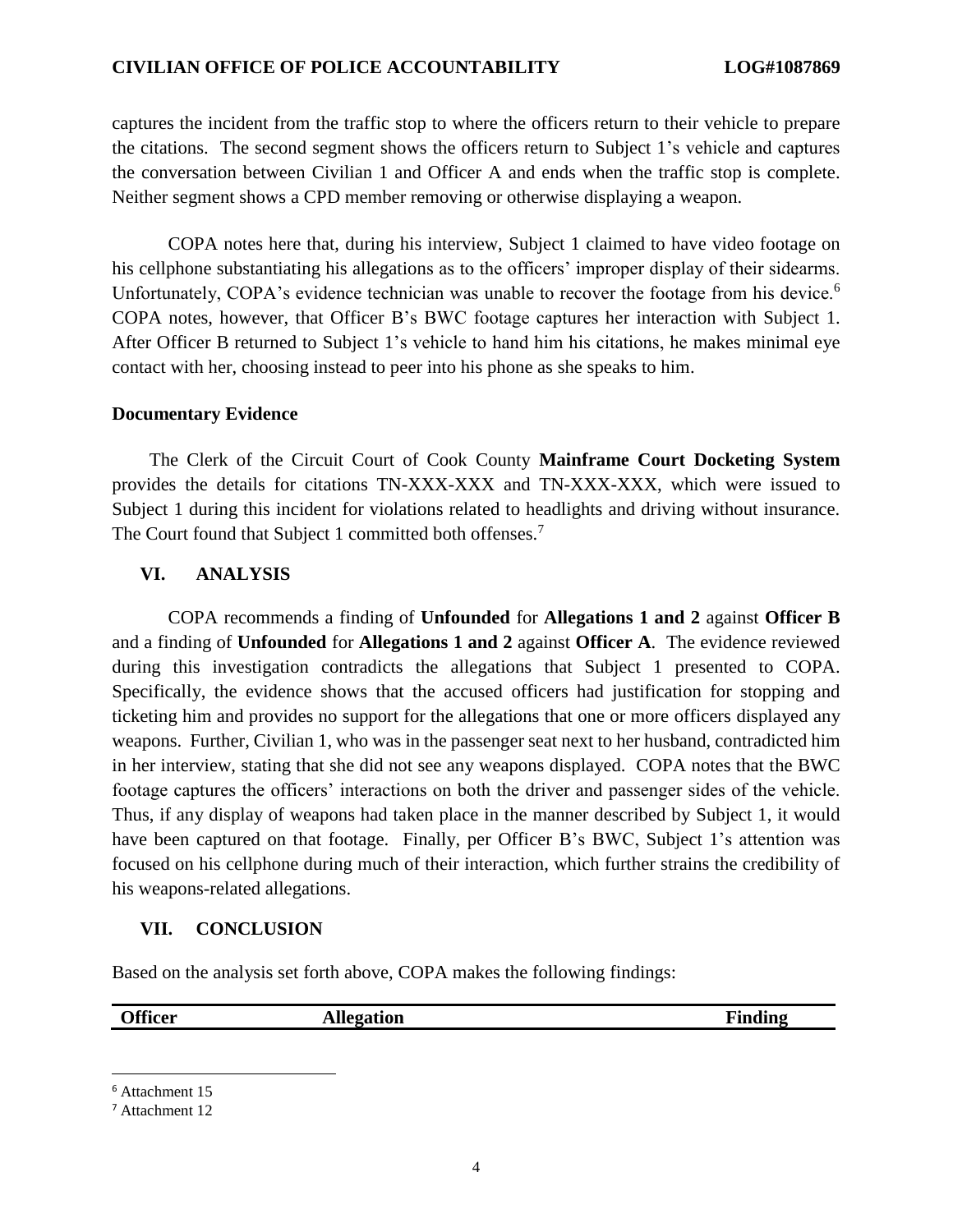# **CIVILIAN OFFICE OF POLICE ACCOUNTABILITY LOG#1087869**

captures the incident from the traffic stop to where the officers return to their vehicle to prepare the citations. The second segment shows the officers return to Subject 1's vehicle and captures the conversation between Civilian 1 and Officer A and ends when the traffic stop is complete. Neither segment shows a CPD member removing or otherwise displaying a weapon.

COPA notes here that, during his interview, Subject 1 claimed to have video footage on his cellphone substantiating his allegations as to the officers' improper display of their sidearms. Unfortunately, COPA's evidence technician was unable to recover the footage from his device.<sup>6</sup> COPA notes, however, that Officer B's BWC footage captures her interaction with Subject 1. After Officer B returned to Subject 1's vehicle to hand him his citations, he makes minimal eye contact with her, choosing instead to peer into his phone as she speaks to him.

#### **Documentary Evidence**

 The Clerk of the Circuit Court of Cook County **Mainframe Court Docketing System**  provides the details for citations TN-XXX-XXX and TN-XXX-XXX, which were issued to Subject 1 during this incident for violations related to headlights and driving without insurance. The Court found that Subject 1 committed both offenses.<sup>7</sup>

# **VI. ANALYSIS**

COPA recommends a finding of **Unfounded** for **Allegations 1 and 2** against **Officer B** and a finding of **Unfounded** for **Allegations 1 and 2** against **Officer A**. The evidence reviewed during this investigation contradicts the allegations that Subject 1 presented to COPA. Specifically, the evidence shows that the accused officers had justification for stopping and ticketing him and provides no support for the allegations that one or more officers displayed any weapons. Further, Civilian 1, who was in the passenger seat next to her husband, contradicted him in her interview, stating that she did not see any weapons displayed. COPA notes that the BWC footage captures the officers' interactions on both the driver and passenger sides of the vehicle. Thus, if any display of weapons had taken place in the manner described by Subject 1, it would have been captured on that footage. Finally, per Officer B's BWC, Subject 1's attention was focused on his cellphone during much of their interaction, which further strains the credibility of his weapons-related allegations.

#### **VII. CONCLUSION**

Based on the analysis set forth above, COPA makes the following findings:

 $\overline{\phantom{a}}$ 

**Officer Allegation** *Finding* 

<sup>6</sup> Attachment 15

<sup>7</sup> Attachment 12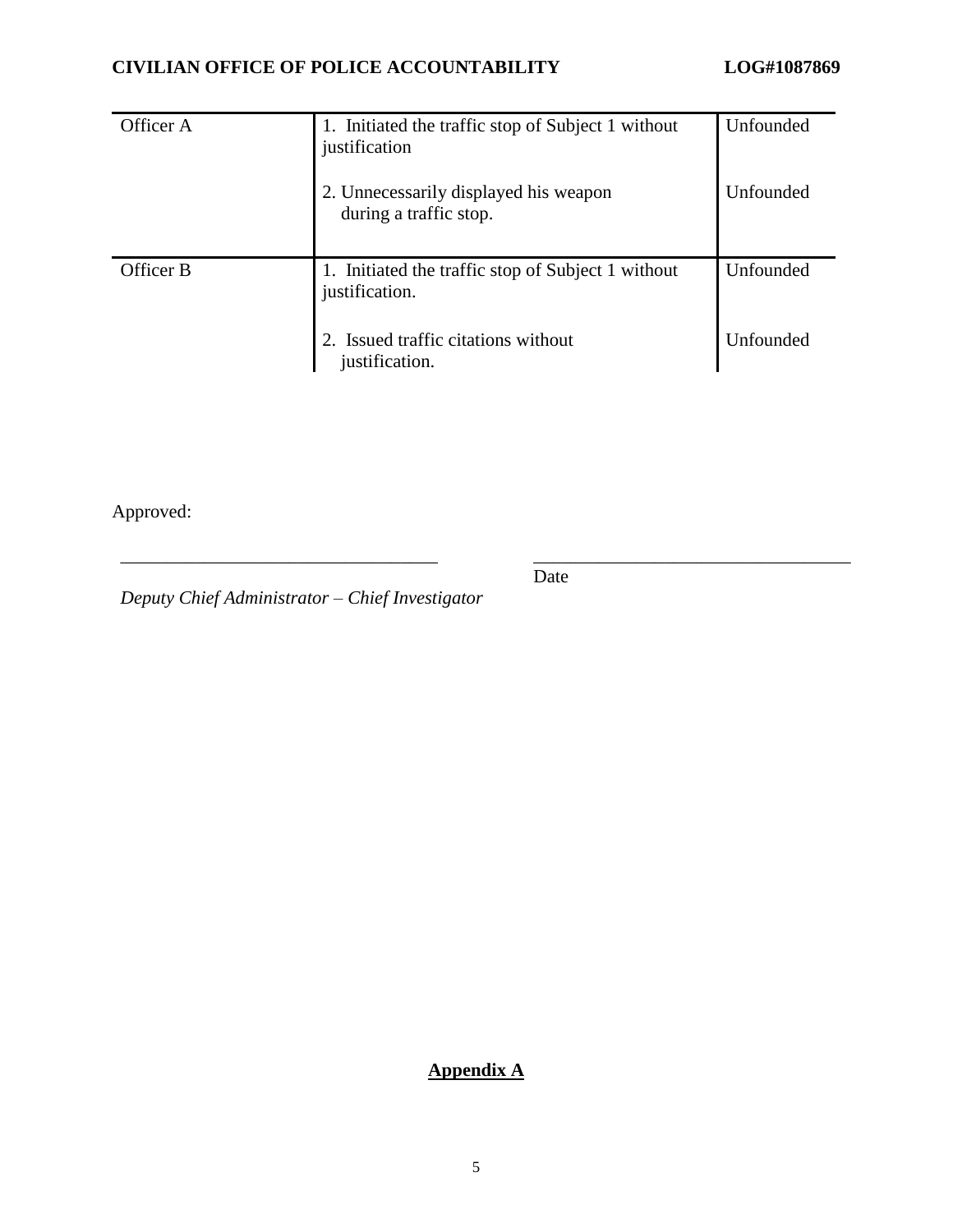| Officer A | 1. Initiated the traffic stop of Subject 1 without<br>justification  | Unfounded        |
|-----------|----------------------------------------------------------------------|------------------|
|           | 2. Unnecessarily displayed his weapon<br>during a traffic stop.      | Unfounded        |
| Officer B | 1. Initiated the traffic stop of Subject 1 without<br>justification. | Unfounded        |
|           | 2. Issued traffic citations without<br>justification.                | <b>Unfounded</b> |

Approved:

Date

\_\_\_\_\_\_\_\_\_\_\_\_\_\_\_\_\_\_\_\_\_\_\_\_\_\_\_\_\_\_\_\_\_\_ \_\_\_\_\_\_\_\_\_\_\_\_\_\_\_\_\_\_\_\_\_\_\_\_\_\_\_\_\_\_\_\_\_\_

*Deputy Chief Administrator – Chief Investigator*

**Appendix A**